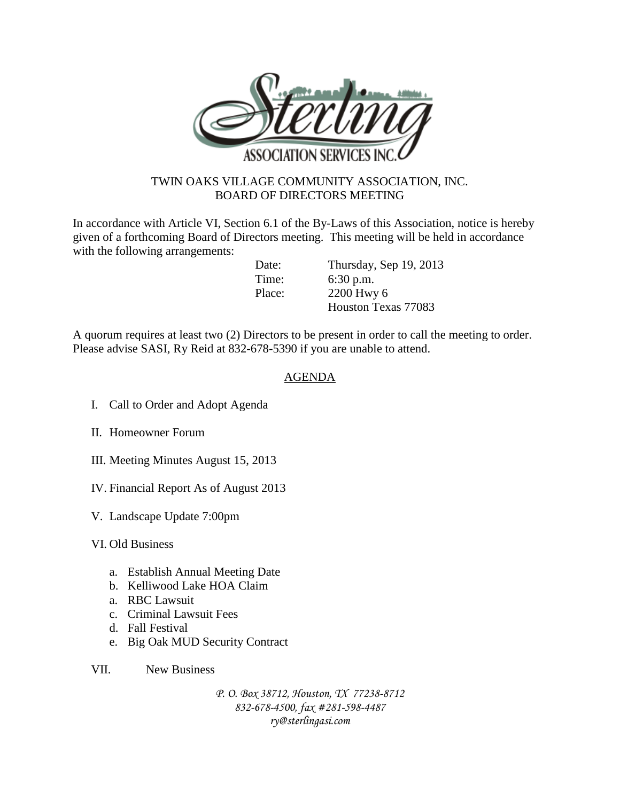

## TWIN OAKS VILLAGE COMMUNITY ASSOCIATION, INC. BOARD OF DIRECTORS MEETING

In accordance with Article VI, Section 6.1 of the By-Laws of this Association, notice is hereby given of a forthcoming Board of Directors meeting. This meeting will be held in accordance with the following arrangements:

Date: Thursday, Sep 19, 2013 Time: 6:30 p.m. Place: 2200 Hwy 6 Houston Texas 77083

A quorum requires at least two (2) Directors to be present in order to call the meeting to order. Please advise SASI, Ry Reid at 832-678-5390 if you are unable to attend.

## AGENDA

- I. Call to Order and Adopt Agenda
- II. Homeowner Forum
- III. Meeting Minutes August 15, 2013
- IV. Financial Report As of August 2013
- V. Landscape Update 7:00pm
- VI. Old Business
	- a. Establish Annual Meeting Date
	- b. Kelliwood Lake HOA Claim
	- a. RBC Lawsuit
	- c. Criminal Lawsuit Fees
	- d. Fall Festival
	- e. Big Oak MUD Security Contract
- VII. New Business

*P. O. Box 38712, Houston, TX 77238-8712 832-678-4500, fax #281-598-4487 ry@sterlingasi.com*